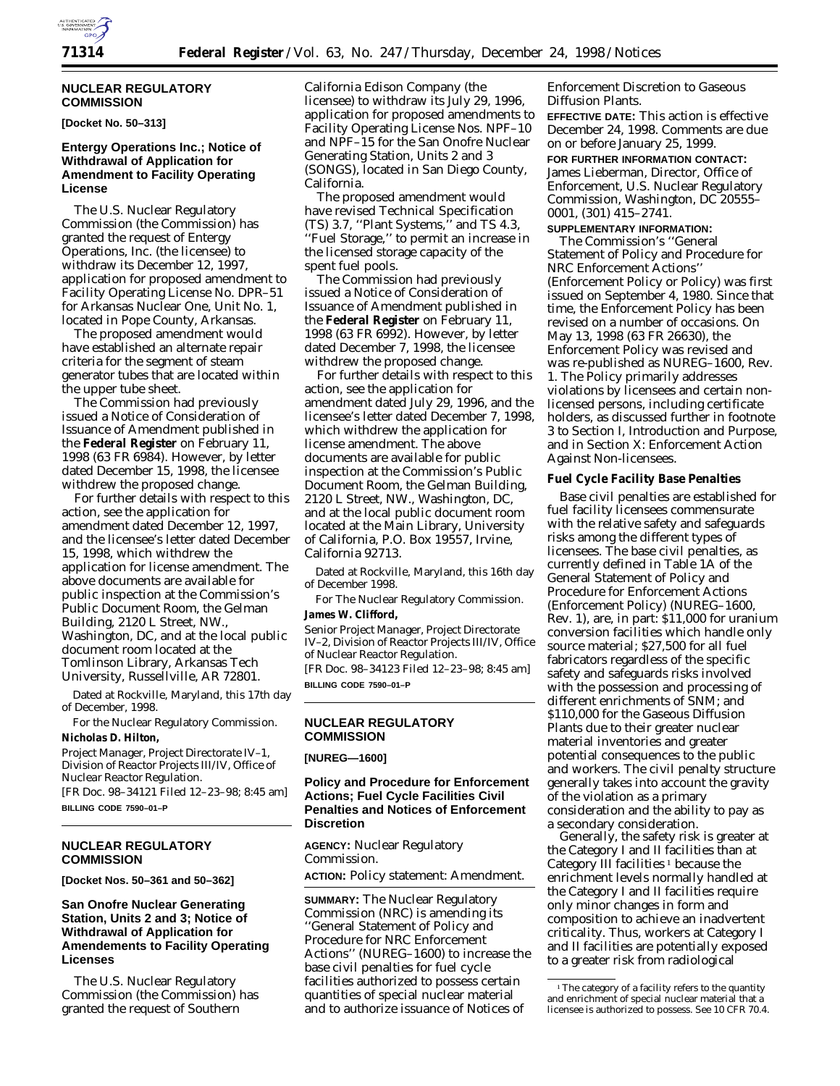

#### **NUCLEAR REGULATORY COMMISSION**

#### **[Docket No. 50–313]**

### **Entergy Operations Inc.; Notice of Withdrawal of Application for Amendment to Facility Operating License**

The U.S. Nuclear Regulatory Commission (the Commission) has granted the request of Entergy Operations, Inc. (the licensee) to withdraw its December 12, 1997, application for proposed amendment to Facility Operating License No. DPR–51 for Arkansas Nuclear One, Unit No. 1, located in Pope County, Arkansas.

The proposed amendment would have established an alternate repair criteria for the segment of steam generator tubes that are located within the upper tube sheet.

The Commission had previously issued a Notice of Consideration of Issuance of Amendment published in the **Federal Register** on February 11, 1998 (63 FR 6984). However, by letter dated December 15, 1998, the licensee withdrew the proposed change.

For further details with respect to this action, see the application for amendment dated December 12, 1997, and the licensee's letter dated December 15, 1998, which withdrew the application for license amendment. The above documents are available for public inspection at the Commission's Public Document Room, the Gelman Building, 2120 L Street, NW., Washington, DC, and at the local public document room located at the Tomlinson Library, Arkansas Tech University, Russellville, AR 72801.

Dated at Rockville, Maryland, this 17th day of December, 1998.

For the Nuclear Regulatory Commission. **Nicholas D. Hilton,**

*Project Manager, Project Directorate IV–1, Division of Reactor Projects III/IV, Office of Nuclear Reactor Regulation.* [FR Doc. 98–34121 Filed 12–23–98; 8:45 am]

**BILLING CODE 7590–01–P**

#### **NUCLEAR REGULATORY COMMISSION**

**[Docket Nos. 50–361 and 50–362]**

### **San Onofre Nuclear Generating Station, Units 2 and 3; Notice of Withdrawal of Application for Amendements to Facility Operating Licenses**

The U.S. Nuclear Regulatory Commission (the Commission) has granted the request of Southern

California Edison Company (the licensee) to withdraw its July 29, 1996, application for proposed amendments to Facility Operating License Nos. NPF–10 and NPF–15 for the San Onofre Nuclear Generating Station, Units 2 and 3 (SONGS), located in San Diego County, California.

The proposed amendment would have revised Technical Specification (TS) 3.7, ''Plant Systems,'' and TS 4.3, ''Fuel Storage,'' to permit an increase in the licensed storage capacity of the spent fuel pools.

The Commission had previously issued a Notice of Consideration of Issuance of Amendment published in the **Federal Register** on February 11, 1998 (63 FR 6992). However, by letter dated December 7, 1998, the licensee withdrew the proposed change.

For further details with respect to this action, see the application for amendment dated July 29, 1996, and the licensee's letter dated December 7, 1998, which withdrew the application for license amendment. The above documents are available for public inspection at the Commission's Public Document Room, the Gelman Building, 2120 L Street, NW., Washington, DC, and at the local public document room located at the Main Library, University of California, P.O. Box 19557, Irvine, California 92713.

Dated at Rockville, Maryland, this 16th day of December 1998.

For The Nuclear Regulatory Commission. **James W. Clifford,**

*Senior Project Manager, Project Directorate IV–2, Division of Reactor Projects III/IV, Office of Nuclear Reactor Regulation.* [FR Doc. 98–34123 Filed 12–23–98; 8:45 am] **BILLING CODE 7590–01–P**

### **NUCLEAR REGULATORY COMMISSION**

#### **[NUREG—1600]**

### **Policy and Procedure for Enforcement Actions; Fuel Cycle Facilities Civil Penalties and Notices of Enforcement Discretion**

**AGENCY:** Nuclear Regulatory Commission. **ACTION:** Policy statement: Amendment.

**SUMMARY:** The Nuclear Regulatory Commission (NRC) is amending its ''General Statement of Policy and Procedure for NRC Enforcement Actions'' (NUREG–1600) to increase the base civil penalties for fuel cycle facilities authorized to possess certain quantities of special nuclear material and to authorize issuance of Notices of

Enforcement Discretion to Gaseous Diffusion Plants.

**EFFECTIVE DATE:** This action is effective December 24, 1998. Comments are due on or before January 25, 1999. **FOR FURTHER INFORMATION CONTACT:** James Lieberman, Director, Office of Enforcement, U.S. Nuclear Regulatory Commission, Washington, DC 20555– 0001, (301) 415–2741.

### **SUPPLEMENTARY INFORMATION:**

The Commission's ''General Statement of Policy and Procedure for NRC Enforcement Actions'' (Enforcement Policy or Policy) was first issued on September 4, 1980. Since that time, the Enforcement Policy has been revised on a number of occasions. On May 13, 1998 (63 FR 26630), the Enforcement Policy was revised and was re-published as NUREG–1600, Rev. 1. The Policy primarily addresses violations by licensees and certain nonlicensed persons, including certificate holders, as discussed further in footnote 3 to Section I, Introduction and Purpose, and in Section X: Enforcement Action Against Non-licensees.

#### **Fuel Cycle Facility Base Penalties**

Base civil penalties are established for fuel facility licensees commensurate with the relative safety and safeguards risks among the different types of licensees. The base civil penalties, as currently defined in Table 1A of the General Statement of Policy and Procedure for Enforcement Actions (Enforcement Policy) (NUREG–1600, Rev. 1), are, in part: \$11,000 for uranium conversion facilities which handle only source material; \$27,500 for all fuel fabricators regardless of the specific safety and safeguards risks involved with the possession and processing of different enrichments of SNM; and \$110,000 for the Gaseous Diffusion Plants due to their greater nuclear material inventories and greater potential consequences to the public and workers. The civil penalty structure generally takes into account the gravity of the violation as a primary consideration and the ability to pay as a secondary consideration.

Generally, the safety risk is greater at the Category I and II facilities than at Category III facilities 1 because the enrichment levels normally handled at the Category I and II facilities require only minor changes in form and composition to achieve an inadvertent criticality. Thus, workers at Category I and II facilities are potentially exposed to a greater risk from radiological

<sup>&</sup>lt;sup>1</sup>The category of a facility refers to the quantity and enrichment of special nuclear material that a licensee is authorized to possess. See 10 CFR 70.4.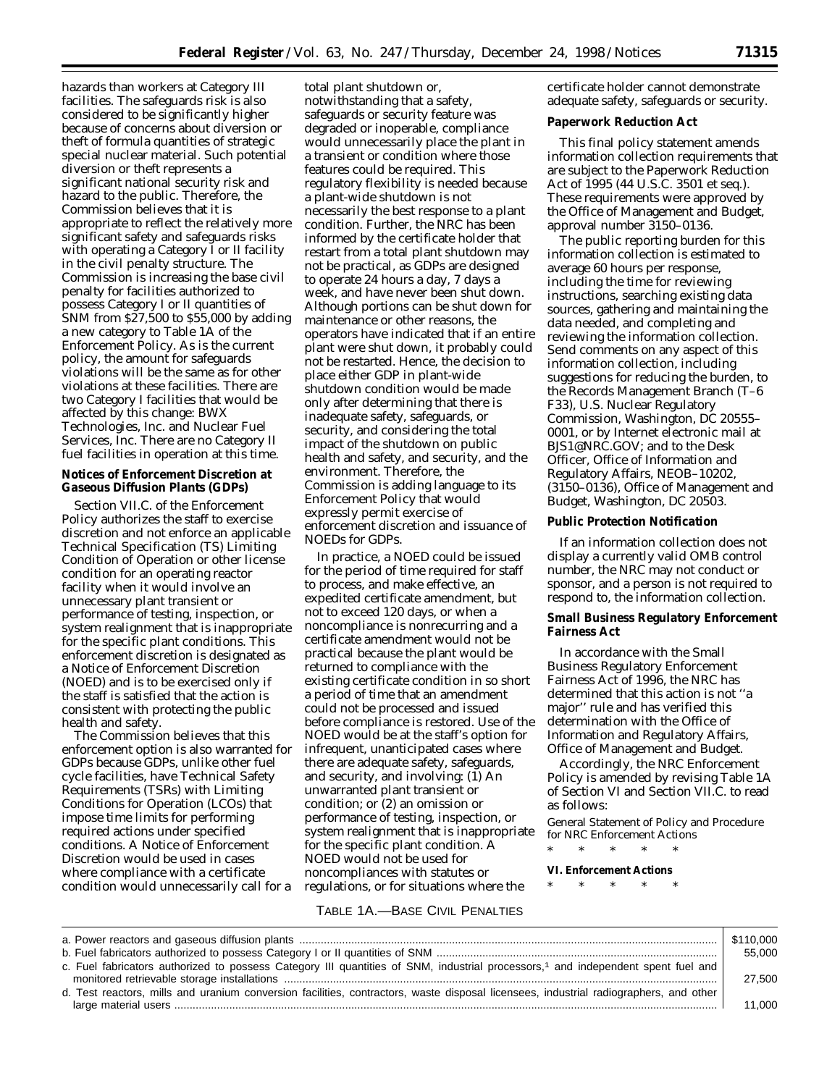hazards than workers at Category III facilities. The safeguards risk is also considered to be significantly higher because of concerns about diversion or theft of formula quantities of strategic special nuclear material. Such potential diversion or theft represents a significant national security risk and hazard to the public. Therefore, the Commission believes that it is appropriate to reflect the relatively more significant safety and safeguards risks with operating a Category I or II facility in the civil penalty structure. The Commission is increasing the base civil penalty for facilities authorized to possess Category I or II quantities of SNM from \$27,500 to \$55,000 by adding a new category to Table 1A of the Enforcement Policy. As is the current policy, the amount for safeguards violations will be the same as for other violations at these facilities. There are two Category I facilities that would be affected by this change: BWX Technologies, Inc. and Nuclear Fuel Services, Inc. There are no Category II fuel facilities in operation at this time.

#### **Notices of Enforcement Discretion at Gaseous Diffusion Plants (GDPs)**

Section VII.C. of the Enforcement Policy authorizes the staff to exercise discretion and not enforce an applicable Technical Specification (TS) Limiting Condition of Operation or other license condition for an operating reactor facility when it would involve an unnecessary plant transient or performance of testing, inspection, or system realignment that is inappropriate for the specific plant conditions. This enforcement discretion is designated as a Notice of Enforcement Discretion (NOED) and is to be exercised only if the staff is satisfied that the action is consistent with protecting the public health and safety.

The Commission believes that this enforcement option is also warranted for GDPs because GDPs, unlike other fuel cycle facilities, have Technical Safety Requirements (TSRs) with Limiting Conditions for Operation (LCOs) that impose time limits for performing required actions under specified conditions. A Notice of Enforcement Discretion would be used in cases where compliance with a certificate condition would unnecessarily call for a

total plant shutdown or, notwithstanding that a safety, safeguards or security feature was degraded or inoperable, compliance would unnecessarily place the plant in a transient or condition where those features could be required. This regulatory flexibility is needed because a plant-wide shutdown is not necessarily the best response to a plant condition. Further, the NRC has been informed by the certificate holder that restart from a total plant shutdown may not be practical, as GDPs are designed to operate 24 hours a day, 7 days a week, and have never been shut down. Although portions can be shut down for maintenance or other reasons, the operators have indicated that if an entire plant were shut down, it probably could not be restarted. Hence, the decision to place either GDP in plant-wide shutdown condition would be made only after determining that there is inadequate safety, safeguards, or security, and considering the total impact of the shutdown on public health and safety, and security, and the environment. Therefore, the Commission is adding language to its Enforcement Policy that would expressly permit exercise of enforcement discretion and issuance of NOEDs for GDPs.

In practice, a NOED could be issued for the period of time required for staff to process, and make effective, an expedited certificate amendment, but not to exceed 120 days, or when a noncompliance is nonrecurring and a certificate amendment would not be practical because the plant would be returned to compliance with the existing certificate condition in so short a period of time that an amendment could not be processed and issued before compliance is restored. Use of the NOED would be at the staff's option for infrequent, unanticipated cases where there are adequate safety, safeguards, and security, and involving: (1) An unwarranted plant transient or condition; or (2) an omission or performance of testing, inspection, or system realignment that is inappropriate for the specific plant condition. A NOED would not be used for noncompliances with statutes or regulations, or for situations where the

certificate holder cannot demonstrate adequate safety, safeguards or security.

#### **Paperwork Reduction Act**

This final policy statement amends information collection requirements that are subject to the Paperwork Reduction Act of 1995 (44 U.S.C. 3501 *et seq.*). These requirements were approved by the Office of Management and Budget, approval number 3150–0136.

The public reporting burden for this information collection is estimated to average 60 hours per response, including the time for reviewing instructions, searching existing data sources, gathering and maintaining the data needed, and completing and reviewing the information collection. Send comments on any aspect of this information collection, including suggestions for reducing the burden, to the Records Management Branch (T–6 F33), U.S. Nuclear Regulatory Commission, Washington, DC 20555– 0001, or by Internet electronic mail at BJS1@NRC.GOV; and to the Desk Officer, Office of Information and Regulatory Affairs, NEOB–10202, (3150–0136), Office of Management and Budget, Washington, DC 20503.

#### **Public Protection Notification**

If an information collection does not display a currently valid OMB control number, the NRC may not conduct or sponsor, and a person is not required to respond to, the information collection.

#### **Small Business Regulatory Enforcement Fairness Act**

In accordance with the Small Business Regulatory Enforcement Fairness Act of 1996, the NRC has determined that this action is not ''a major'' rule and has verified this determination with the Office of Information and Regulatory Affairs, Office of Management and Budget.

Accordingly, the NRC Enforcement Policy is amended by revising Table 1A of Section VI and Section VII.C. to read as follows:

General Statement of Policy and Procedure for NRC Enforcement Actions

\* \* \* \* \*

### **VI. Enforcement Actions**

# \* \* \* \* \*

#### TABLE 1A.—BASE CIVIL PENALTIES

|                                                                                                                                       | \$110,000 |
|---------------------------------------------------------------------------------------------------------------------------------------|-----------|
|                                                                                                                                       | 55.000    |
| c. Fuel fabricators authorized to possess Category III quantities of SNM, industrial processors,1 and independent spent fuel and      | 27,500    |
| d. Test reactors, mills and uranium conversion facilities, contractors, waste disposal licensees, industrial radiographers, and other | 11.000    |